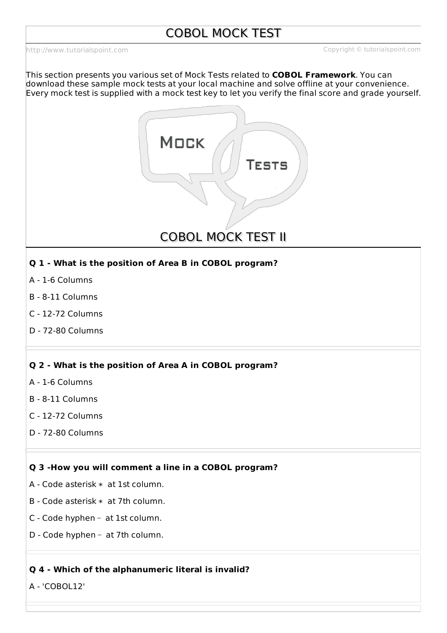<http://www.tutorialspoint.com> Copyright © tutorialspoint.com

This section presents you various set of Mock Tests related to **COBOL Framework**. You can download these sample mock tests at your local machine and solve offline at your convenience. Every mock test is supplied with a mock test key to let you verify the final score and grade yourself.



**COBOL MOCK TEST II** 

# **Q 1 - What is the position of Area B in COBOL program?**

- A 1-6 Columns
- B 8-11 Columns
- C 12-72 Columns
- D 72-80 Columns

# **Q 2 - What is the position of Area A in COBOL program?**

- A 1-6 Columns
- B 8-11 Columns
- C 12-72 Columns
- D 72-80 Columns

# **Q 3 -How you will comment a line in a COBOL program?**

- A Code asterisk ∗ at 1st column.
- B Code asterisk ∗ at 7th column.
- C Code hyphen − at 1st column.
- D Code hyphen at 7th column.

# **Q 4 - Which of the alphanumeric literal is invalid?**

A - 'COBOL12'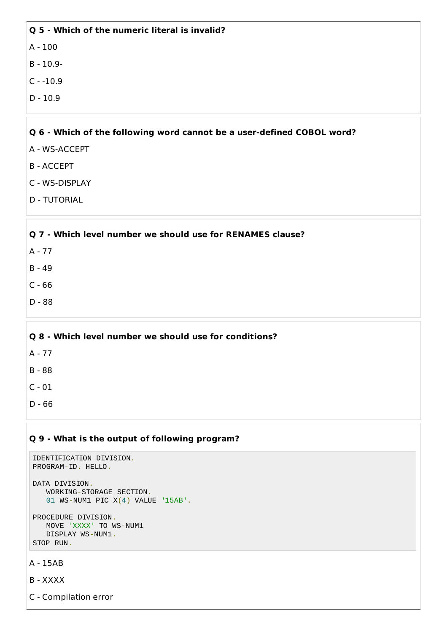A - 100

B - 10.9-

 $C - 10.9$ 

 $D - 10.9$ 

# **Q 6 - Which of the following word cannot be a user-defined COBOL word?**

- A WS-ACCEPT
- B ACCEPT
- C WS-DISPLAY
- D TUTORIAL

## **Q 7 - Which level number we should use for RENAMES clause?**

- A 77
- B 49
- C 66
- D 88

# **Q 8 - Which level number we should use for conditions?**

- A 77
- B 88
- C 01
- 
- D 66

## **Q 9 - What is the output of following program?**

```
IDENTIFICATION DIVISION.
PROGRAM-ID. HELLO.
DATA DIVISION.
   WORKING-STORAGE SECTION.
   01 WS-NUM1 PIC X(4) VALUE '15AB'.
PROCEDURE DIVISION.
   MOVE 'XXXX' TO WS-NUM1
   DISPLAY WS-NUM1.
STOP RUN.
```

```
A - 15AB
```

```
B - XXXX
```

```
C - Compilation error
```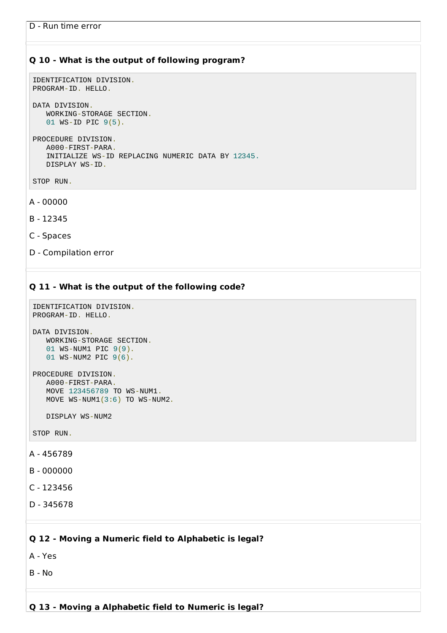## **Q 10 - What is the output of following program?**

```
IDENTIFICATION DIVISION.
PROGRAM-ID. HELLO.
```
DATA DIVISION. WORKING-STORAGE SECTION. 01 WS-ID PIC 9(5).

```
PROCEDURE DIVISION.
   A000-FIRST-PARA.
   INITIALIZE WS-ID REPLACING NUMERIC DATA BY 12345.
   DISPLAY WS-ID.
```
STOP RUN.

A - 00000

B - 12345

C - Spaces

D - Compilation error

# **Q 11 - What is the output of the following code?**

```
IDENTIFICATION DIVISION.
PROGRAM-ID. HELLO.
```

```
DATA DIVISION.
   WORKING-STORAGE SECTION.
   01 WS-NUM1 PIC 9(9).
   01 WS-NUM2 PIC 9(6).
```

```
PROCEDURE DIVISION.
   A000-FIRST-PARA.
   MOVE 123456789 TO WS-NUM1.
   MOVE WS-NUM1(3:6) TO WS-NUM2.
```
DISPLAY WS-NUM2

STOP RUN.

A - 456789

B - 000000

C - 123456

```
D - 345678
```
## **Q 12 - Moving a Numeric field to Alphabetic is legal?**

A - Yes

B - No

# **Q 13 - Moving a Alphabetic field to Numeric is legal?**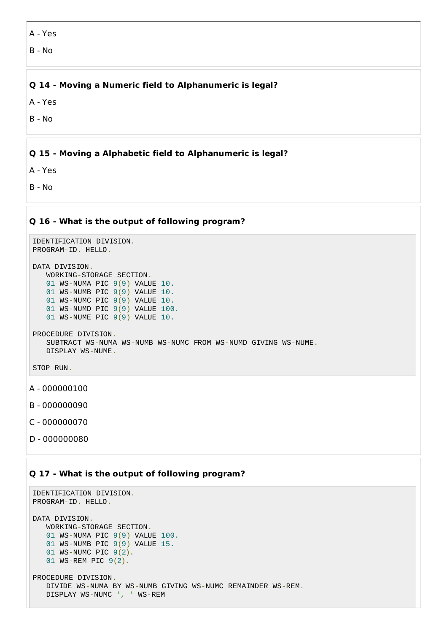A - Yes

B - No

# **Q 14 - Moving a Numeric field to Alphanumeric is legal?**

A - Yes

B - No

# **Q 15 - Moving a Alphabetic field to Alphanumeric is legal?**

A - Yes

B - No

#### **Q 16 - What is the output of following program?**

```
IDENTIFICATION DIVISION.
PROGRAM-ID. HELLO.
DATA DIVISION.
   WORKING-STORAGE SECTION.
   01 WS-NUMA PIC 9(9) VALUE 10.
   01 WS-NUMB PIC 9(9) VALUE 10.
   01 WS-NUMC PIC 9(9) VALUE 10.
   01 WS-NUMD PIC 9(9) VALUE 100.
   01 WS-NUME PIC 9(9) VALUE 10.
```

```
PROCEDURE DIVISION.
   SUBTRACT WS-NUMA WS-NUMB WS-NUMC FROM WS-NUMD GIVING WS-NUME.
   DISPLAY WS-NUME.
```

```
STOP RUN.
```
- A 000000100
- B 000000090
- C 000000070
- D 000000080

#### **Q 17 - What is the output of following program?**

```
IDENTIFICATION DIVISION.
PROGRAM-ID. HELLO.
DATA DIVISION.
   WORKING-STORAGE SECTION.
   01 WS-NUMA PIC 9(9) VALUE 100.
   01 WS-NUMB PIC 9(9) VALUE 15.
   01 WS-NUMC PIC 9(2).
   01 WS-REM PIC 9(2).
PROCEDURE DIVISION.
   DIVIDE WS-NUMA BY WS-NUMB GIVING WS-NUMC REMAINDER WS-REM.
   DISPLAY WS-NUMC ', ' WS-REM
```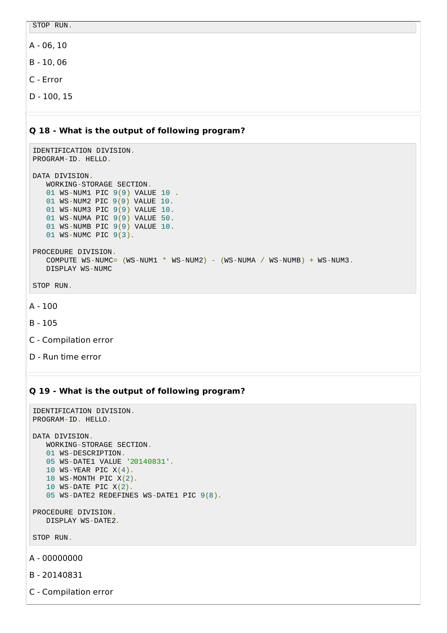STOP RUN.

A - 06, 10

B - 10, 06

C - Error

D - 100, 15

#### **Q 18 - What is the output of following program?**

```
IDENTIFICATION DIVISION.
PROGRAM-ID. HELLO.
DATA DIVISION.
   WORKING-STORAGE SECTION.
   01 WS-NUM1 PIC 9(9) VALUE 10 .
   01 WS-NUM2 PIC 9(9) VALUE 10.
   01 WS-NUM3 PIC 9(9) VALUE 10.
   01 WS-NUMA PIC 9(9) VALUE 50.
   01 WS-NUMB PIC 9(9) VALUE 10.
   01 WS-NUMC PIC 9(3).
PROCEDURE DIVISION.
   COMPUTE WS-NUMC = (WS-NUM1 * WS-NUM2) - (WS-NUMA / WS-NUMB) + WS-NUM3.
   DISPLAY WS-NUMC
```
STOP RUN.

```
A - 100
```
- B 105
- C Compilation error
- D Run time error

#### **Q 19 - What is the output of following program?**

```
IDENTIFICATION DIVISION.
PROGRAM-ID. HELLO.
DATA DIVISION.
   WORKING-STORAGE SECTION.
   01 WS-DESCRIPTION.
   05 WS-DATE1 VALUE '20140831'.
   10 WS-YEAR PIC X(4).
   10 WS-MONTH PIC X(2).
   10 WS-DATE PIC X(2).
   05 WS-DATE2 REDEFINES WS-DATE1 PIC 9(8).
PROCEDURE DIVISION.
```

```
DISPLAY WS-DATE2.
```
STOP RUN.

A - 00000000

B - 20140831

C - Compilation error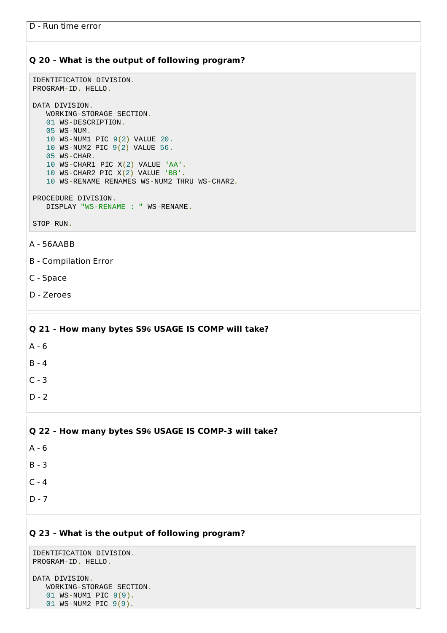# **Q 20 - What is the output of following program?**

```
IDENTIFICATION DIVISION.
PROGRAM-ID. HELLO.
DATA DIVISION.
   WORKING-STORAGE SECTION.
```

```
01 WS-DESCRIPTION.
05 WS-NUM.
10 WS-NUM1 PIC 9(2) VALUE 20.
10 WS-NUM2 PIC 9(2) VALUE 56.
05 WS-CHAR.
10 WS-CHAR1 PIC X(2) VALUE 'AA'.
10 WS-CHAR2 PIC X(2) VALUE 'BB'.
10 WS-RENAME RENAMES WS-NUM2 THRU WS-CHAR2.
```

```
PROCEDURE DIVISION.
   DISPLAY "WS-RENAME : " WS-RENAME.
```
STOP RUN.

#### A - 56AABB

- B Compilation Error
- C Space
- D Zeroes

# **Q 21 - How many bytes S96 USAGE IS COMP will take?**

- A 6
- B 4
- $C 3$
- $D 2$

#### **Q 22 - How many bytes S96 USAGE IS COMP-3 will take?**

- A 6
- B 3
- $C 4$
- $D 7$

## **Q 23 - What is the output of following program?**

```
IDENTIFICATION DIVISION.
PROGRAM-ID. HELLO.
```
DATA DIVISION. WORKING-STORAGE SECTION. 01 WS-NUM1 PIC 9(9). 01 WS-NUM2 PIC 9(9).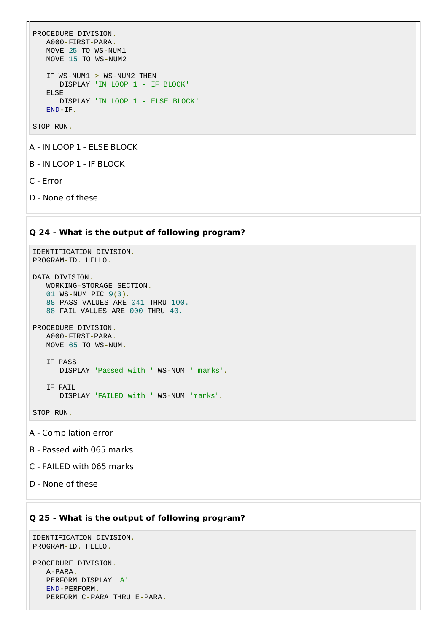```
PROCEDURE DIVISION.
  A000-FIRST-PARA.
  MOVE 25 TO WS-NUM1
  MOVE 15 TO WS-NUM2
  IF WS-NUM1 > WS-NUM2 THEN
      DISPLAY 'IN LOOP 1 - IF BLOCK'
   ELSE
      DISPLAY 'IN LOOP 1 - ELSE BLOCK'
   END-IF.
```
STOP RUN.

A - IN LOOP 1 - ELSE BLOCK

B - IN LOOP 1 - IF BLOCK

C - Error

D - None of these

#### **Q 24 - What is the output of following program?**

```
IDENTIFICATION DIVISION.
PROGRAM-ID. HELLO.
```
DATA DIVISION. WORKING-STORAGE SECTION. 01 WS-NUM PIC 9(3). 88 PASS VALUES ARE 041 THRU 100. 88 FAIL VALUES ARE 000 THRU 40.

```
PROCEDURE DIVISION.
   A000-FIRST-PARA.
   MOVE 65 TO WS-NUM.
  IF PASS
```

```
DISPLAY 'Passed with ' WS-NUM ' marks'.
```

```
IF FAIL
   DISPLAY 'FAILED with ' WS-NUM 'marks'.
```
STOP RUN.

A - Compilation error

B - Passed with 065 marks

C - FAILED with 065 marks

D - None of these

# **Q 25 - What is the output of following program?**

```
IDENTIFICATION DIVISION.
PROGRAM-ID. HELLO.
```
PROCEDURE DIVISION. A-PARA. PERFORM DISPLAY 'A' END-PERFORM. PERFORM C-PARA THRU E-PARA.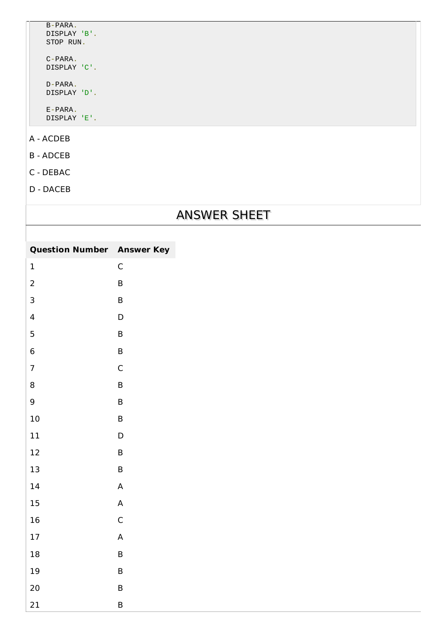| B-PARA.<br>DTSPLAY 'B'.<br>STOP RUN. |  |
|--------------------------------------|--|
| C-PARA.<br>DISPLAY 'C'.              |  |
| D-PARA.<br>DISPLAY 'D'.              |  |
| F-PARA.<br>DTSPLAY 'F'.              |  |
| - ACDEB                              |  |

B - ADCEB

 $\overline{\mathsf{A}}$ 

- C DEBAC
- D DACEB

# ANSWER SHEET

| <b>Question Number Answer Key</b> |             |
|-----------------------------------|-------------|
| $\mathbf 1$                       | $\mathsf C$ |
| $\overline{2}$                    | $\sf B$     |
| $\mathsf{3}$                      | $\sf B$     |
| $\overline{\mathbf{4}}$           | $\mathsf D$ |
| 5                                 | $\sf B$     |
| $\,$ 6 $\,$                       | $\sf B$     |
| $\boldsymbol{7}$                  | $\mathsf C$ |
| $\, 8$                            | $\sf B$     |
| $\boldsymbol{9}$                  | $\sf B$     |
| $10\,$                            | $\sf B$     |
| $11\,$                            | $\mathsf D$ |
| 12                                | $\sf B$     |
| $13\,$                            | $\sf B$     |
| 14                                | $\sf A$     |
| $15\,$                            | $\mathsf A$ |
| $16\,$                            | $\mathsf C$ |
| 17                                | $\sf A$     |
| $18\,$                            | $\sf B$     |
| 19                                | $\sf B$     |
| $20\,$                            | $\sf B$     |
| 21                                | $\sf B$     |